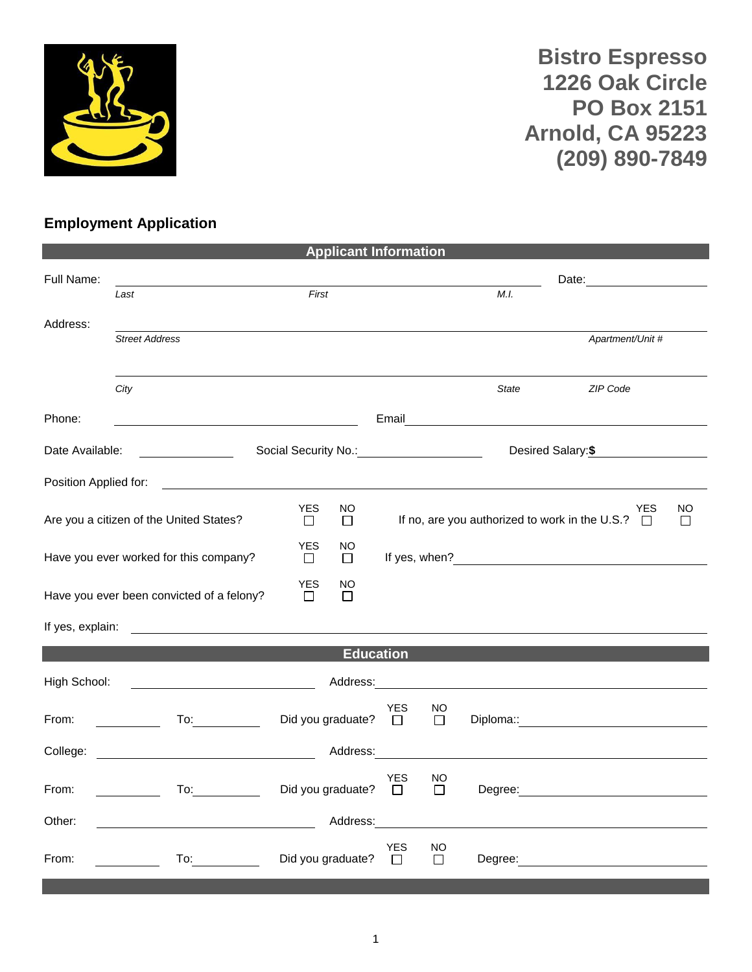

**Bistro Espresso 1226 Oak Circle PO Box 2151 Arnold, CA 95223 (209) 890-7849**

## **Employment Application**

| <b>Applicant Information</b>                                                                                                                                                                                                         |                      |                                                                                                                                                                                                                                                                                 |                                                                  |                                                                                             |              |          |                                     |                                                                                                                                           |
|--------------------------------------------------------------------------------------------------------------------------------------------------------------------------------------------------------------------------------------|----------------------|---------------------------------------------------------------------------------------------------------------------------------------------------------------------------------------------------------------------------------------------------------------------------------|------------------------------------------------------------------|---------------------------------------------------------------------------------------------|--------------|----------|-------------------------------------|-------------------------------------------------------------------------------------------------------------------------------------------|
|                                                                                                                                                                                                                                      |                      |                                                                                                                                                                                                                                                                                 |                                                                  |                                                                                             |              |          |                                     |                                                                                                                                           |
| Last                                                                                                                                                                                                                                 |                      |                                                                                                                                                                                                                                                                                 |                                                                  |                                                                                             |              |          |                                     |                                                                                                                                           |
| <b>Street Address</b>                                                                                                                                                                                                                |                      |                                                                                                                                                                                                                                                                                 |                                                                  |                                                                                             |              |          |                                     |                                                                                                                                           |
|                                                                                                                                                                                                                                      |                      |                                                                                                                                                                                                                                                                                 |                                                                  |                                                                                             |              |          |                                     |                                                                                                                                           |
| City                                                                                                                                                                                                                                 |                      |                                                                                                                                                                                                                                                                                 |                                                                  |                                                                                             | <b>State</b> | ZIP Code |                                     |                                                                                                                                           |
|                                                                                                                                                                                                                                      |                      |                                                                                                                                                                                                                                                                                 |                                                                  |                                                                                             |              |          |                                     |                                                                                                                                           |
| Date Available:                                                                                                                                                                                                                      |                      |                                                                                                                                                                                                                                                                                 |                                                                  |                                                                                             |              |          |                                     |                                                                                                                                           |
| Position Applied for:                                                                                                                                                                                                                |                      |                                                                                                                                                                                                                                                                                 |                                                                  |                                                                                             |              |          |                                     |                                                                                                                                           |
| Are you a citizen of the United States?                                                                                                                                                                                              | <b>YES</b><br>$\Box$ | NO<br>П                                                                                                                                                                                                                                                                         |                                                                  |                                                                                             |              |          |                                     | NO.<br>П                                                                                                                                  |
| Have you ever worked for this company?                                                                                                                                                                                               | <b>YES</b><br>$\Box$ | NO.<br>$\Box$                                                                                                                                                                                                                                                                   |                                                                  |                                                                                             |              |          |                                     |                                                                                                                                           |
| Have you ever been convicted of a felony?                                                                                                                                                                                            | <b>YES</b><br>П      | NO<br>П                                                                                                                                                                                                                                                                         |                                                                  |                                                                                             |              |          |                                     |                                                                                                                                           |
|                                                                                                                                                                                                                                      |                      |                                                                                                                                                                                                                                                                                 |                                                                  |                                                                                             |              |          |                                     |                                                                                                                                           |
|                                                                                                                                                                                                                                      |                      |                                                                                                                                                                                                                                                                                 |                                                                  |                                                                                             |              |          |                                     |                                                                                                                                           |
|                                                                                                                                                                                                                                      |                      |                                                                                                                                                                                                                                                                                 |                                                                  |                                                                                             |              |          |                                     |                                                                                                                                           |
| <u>and the state of the state of the state of the state of the state of the state of the state of the state of the state of the state of the state of the state of the state of the state of the state of the state of the state</u> |                      |                                                                                                                                                                                                                                                                                 | <b>YES</b><br>$\Box$                                             | NO.<br>$\Box$                                                                               |              |          |                                     |                                                                                                                                           |
|                                                                                                                                                                                                                                      |                      |                                                                                                                                                                                                                                                                                 |                                                                  |                                                                                             |              |          |                                     |                                                                                                                                           |
| $\overline{a}$ To: $\overline{a}$                                                                                                                                                                                                    |                      |                                                                                                                                                                                                                                                                                 | YES<br>$\Box$                                                    | NO.<br>$\Box$                                                                               |              |          |                                     |                                                                                                                                           |
|                                                                                                                                                                                                                                      |                      |                                                                                                                                                                                                                                                                                 |                                                                  |                                                                                             |              |          |                                     |                                                                                                                                           |
| To: the contract of the contract of the contract of the contract of the contract of the contract of the contract of the contract of the contract of the contract of the contract of the contract of the contract of the contra       |                      |                                                                                                                                                                                                                                                                                 | <b>YES</b><br>$\Box$                                             | NO<br>$\Box$                                                                                |              |          |                                     |                                                                                                                                           |
|                                                                                                                                                                                                                                      |                      | <u> 1990 - Johann Barbara, martin a</u><br>College: <u>with the colle</u> ction of the collection of the collection of the collection of the collection of the collection of the collection of the collection of the collection of the collection of the collection of the coll | First<br><u> 1989 - Johann Barbara, martin amerikan basar da</u> | <b>Education</b><br>Did you graduate?<br>Did you graduate?<br>Address:<br>Did you graduate? | Address:     | M.L.     | Email <u>Denverse Communication</u> | Apartment/Unit #<br>Desired Salary:\$<br>YES<br>If no, are you authorized to work in the U.S.? $\Box$<br>Degree: <u>www.community.com</u> |